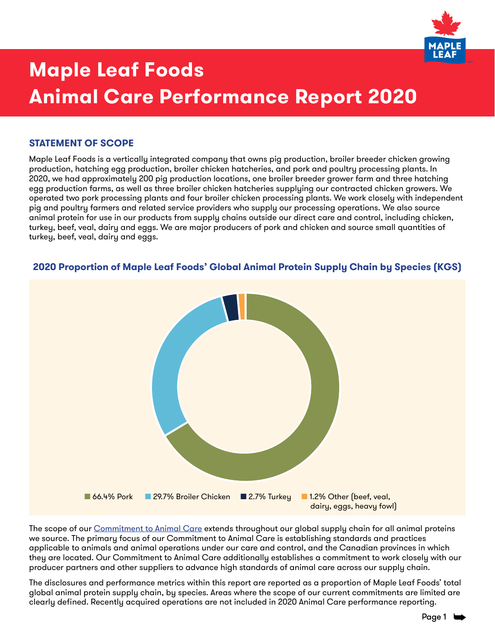

### **STATEMENT OF SCOPE**

Maple Leaf Foods is a vertically integrated company that owns pig production, broiler breeder chicken growing production, hatching egg production, broiler chicken hatcheries, and pork and poultry processing plants. In 2020, we had approximately 200 pig production locations, one broiler breeder grower farm and three hatching egg production farms, as well as three broiler chicken hatcheries supplying our contracted chicken growers. We operated two pork processing plants and four broiler chicken processing plants. We work closely with independent pig and poultry farmers and related service providers who supply our processing operations. We also source animal protein for use in our products from supply chains outside our direct care and control, including chicken, turkey, beef, veal, dairy and eggs. We are major producers of pork and chicken and source small quantities of turkey, beef, veal, dairy and eggs.



### **2020 Proportion of Maple Leaf Foods' Global Animal Protein Supply Chain by Species (KGS)**

The scope of our [Commitment to Animal Care](https://www.mapleleaffoods.com/wp-content/uploads/2020/06/MLF_ANIMAL_CARE_COMMITMENT.pdf) extends throughout our global supply chain for all animal proteins we source. The primary focus of our Commitment to Animal Care is establishing standards and practices applicable to animals and animal operations under our care and control, and the Canadian provinces in which they are located. Our Commitment to Animal Care additionally establishes a commitment to work closely with our producer partners and other suppliers to advance high standards of animal care across our supply chain.

The disclosures and performance metrics within this report are reported as a proportion of Maple Leaf Foods' total global animal protein supply chain, by species. Areas where the scope of our current commitments are limited are clearly defined. Recently acquired operations are not included in 2020 Animal Care performance reporting.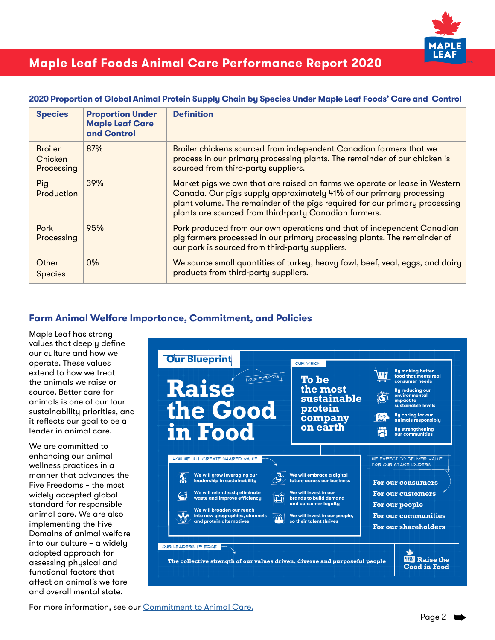

| <b>Species</b>                          | <b>Proportion Under</b><br><b>Maple Leaf Care</b><br>and Control | <b>Definition</b>                                                                                                                                                                                                                                                                         |
|-----------------------------------------|------------------------------------------------------------------|-------------------------------------------------------------------------------------------------------------------------------------------------------------------------------------------------------------------------------------------------------------------------------------------|
| <b>Broiler</b><br>Chicken<br>Processing | 87%                                                              | Broiler chickens sourced from independent Canadian farmers that we<br>process in our primary processing plants. The remainder of our chicken is<br>sourced from third-party suppliers.                                                                                                    |
| Pig<br><b>Production</b>                | 39%                                                              | Market pigs we own that are raised on farms we operate or lease in Western<br>Canada. Our pigs supply approximately 41% of our primary processing<br>plant volume. The remainder of the pigs required for our primary processing<br>plants are sourced from third-party Canadian farmers. |
| Pork<br>Processing                      | 95%                                                              | Pork produced from our own operations and that of independent Canadian<br>pig farmers processed in our primary processing plants. The remainder of<br>our pork is sourced from third-party suppliers.                                                                                     |
| Other<br><b>Species</b>                 | $0\%$                                                            | We source small quantities of turkey, heavy fowl, beef, veal, eggs, and dairy<br>products from third-party suppliers.                                                                                                                                                                     |

### **2020 Proportion of Global Animal Protein Supply Chain by Species Under Maple Leaf Foods' Care and Control**

### **Farm Animal Welfare Importance, Commitment, and Policies**

Maple Leaf has strong values that deeply define our culture and how we operate. These values extend to how we treat the animals we raise or source. Better care for animals is one of our four sustainability priorities, and it reflects our goal to be a leader in animal care.

We are committed to enhancing our animal wellness practices in a manner that advances the Five Freedoms – the most widely accepted global standard for responsible animal care. We are also implementing the Five Domains of animal welfare into our culture – a widely adopted approach for assessing physical and functional factors that affect an animal's welfare and overall mental state.



For more information, see our [Commitment to Animal Care.](https://www.mapleleaffoods.com/wp-content/uploads/2020/06/MLF_ANIMAL_CARE_COMMITMENT.pdf)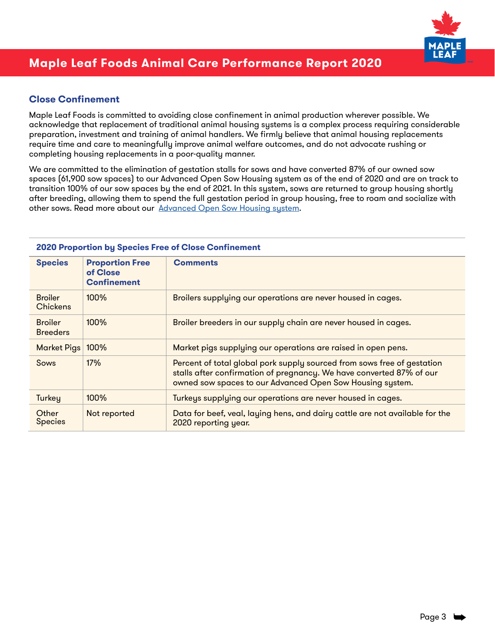

### **Close Confinement**

Maple Leaf Foods is committed to avoiding close confinement in animal production wherever possible. We acknowledge that replacement of traditional animal housing systems is a complex process requiring considerable preparation, investment and training of animal handlers. We firmly believe that animal housing replacements require time and care to meaningfully improve animal welfare outcomes, and do not advocate rushing or completing housing replacements in a poor-quality manner.

We are committed to the elimination of gestation stalls for sows and have converted 87% of our owned sow spaces (61,900 sow spaces) to our Advanced Open Sow Housing system as of the end of 2020 and are on track to transition 100% of our sow spaces by the end of 2021. In this system, sows are returned to group housing shortly after breeding, allowing them to spend the full gestation period in group housing, free to roam and socialize with other sows. Read more about our [Advanced Open Sow Housing system](https://www.mapleleaffoods.com/wp-content/uploads/2020/11/Maple-Leaf-Foods-Advanced-Open-Sow-Housing-Infographic.pdf).

| <u>EULU FIUDUI IIUII DY ODECIES I IEE UI OIUSE OUIIIIIIEIIIEIII.</u> |                                                          |                                                                                                                                                                                                              |
|----------------------------------------------------------------------|----------------------------------------------------------|--------------------------------------------------------------------------------------------------------------------------------------------------------------------------------------------------------------|
| <b>Species</b>                                                       | <b>Proportion Free</b><br>of Close<br><b>Confinement</b> | <b>Comments</b>                                                                                                                                                                                              |
| <b>Broiler</b><br><b>Chickens</b>                                    | $100\%$                                                  | Broilers supplying our operations are never housed in cages.                                                                                                                                                 |
| <b>Broiler</b><br><b>Breeders</b>                                    | 100%                                                     | Broiler breeders in our supply chain are never housed in cages.                                                                                                                                              |
| <b>Market Pigs</b>                                                   | 100%                                                     | Market pigs supplying our operations are raised in open pens.                                                                                                                                                |
| Sows                                                                 | 17%                                                      | Percent of total global pork supply sourced from sows free of gestation<br>stalls after confirmation of pregnancy. We have converted 87% of our<br>owned sow spaces to our Advanced Open Sow Housing system. |
| Turkey                                                               | 100%                                                     | Turkeys supplying our operations are never housed in cages.                                                                                                                                                  |
| Other<br><b>Species</b>                                              | Not reported                                             | Data for beef, veal, laying hens, and dairy cattle are not available for the<br>2020 reporting year.                                                                                                         |

#### **2020 Proportion by Species Free of Close Confinement**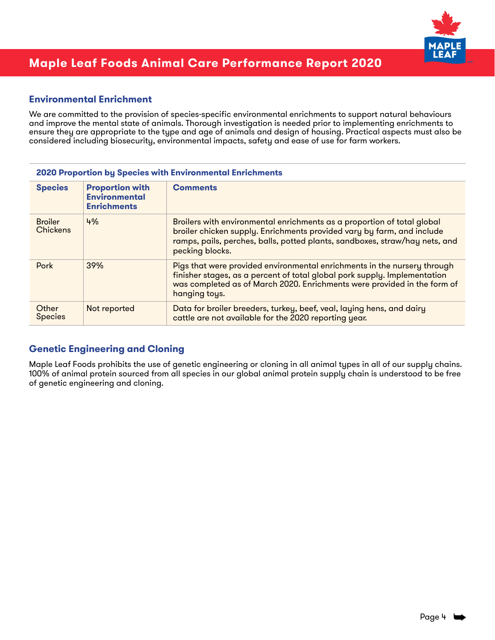

### **Environmental Enrichment**

We are committed to the provision of species-specific environmental enrichments to support natural behaviours and improve the mental state of animals. Thorough investigation is needed prior to implementing enrichments to ensure they are appropriate to the type and age of animals and design of housing. Practical aspects must also be considered including biosecurity, environmental impacts, safety and ease of use for farm workers.

#### **2020 Proportion by Species with Environmental Enrichments**

| <b>Species</b>                    | <b>Proportion with</b><br><b>Environmental</b><br><b>Enrichments</b> | <b>Comments</b>                                                                                                                                                                                                                                     |
|-----------------------------------|----------------------------------------------------------------------|-----------------------------------------------------------------------------------------------------------------------------------------------------------------------------------------------------------------------------------------------------|
| <b>Broiler</b><br><b>Chickens</b> | 4%                                                                   | Broilers with environmental enrichments as a proportion of total global<br>broiler chicken supply. Enrichments provided vary by farm, and include<br>ramps, pails, perches, balls, potted plants, sandboxes, straw/hay nets, and<br>pecking blocks. |
| Pork                              | 39%                                                                  | Pigs that were provided environmental enrichments in the nursery through<br>finisher stages, as a percent of total global pork supply. Implementation<br>was completed as of March 2020. Enrichments were provided in the form of<br>hanging toys.  |
| Other<br><b>Species</b>           | Not reported                                                         | Data for broiler breeders, turkey, beef, veal, laying hens, and dairy<br>cattle are not available for the 2020 reporting year.                                                                                                                      |

### **Genetic Engineering and Cloning**

Maple Leaf Foods prohibits the use of genetic engineering or cloning in all animal types in all of our supply chains. 100% of animal protein sourced from all species in our global animal protein supply chain is understood to be free of genetic engineering and cloning.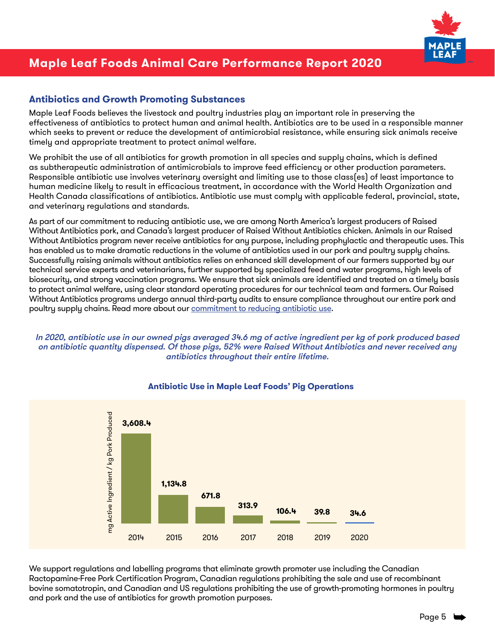

### **Antibiotics and Growth Promoting Substances**

Maple Leaf Foods believes the livestock and poultry industries play an important role in preserving the effectiveness of antibiotics to protect human and animal health. Antibiotics are to be used in a responsible manner which seeks to prevent or reduce the development of antimicrobial resistance, while ensuring sick animals receive timely and appropriate treatment to protect animal welfare.

We prohibit the use of all antibiotics for growth promotion in all species and supply chains, which is defined as subtherapeutic administration of antimicrobials to improve feed efficiency or other production parameters. Responsible antibiotic use involves veterinary oversight and limiting use to those class(es) of least importance to human medicine likely to result in efficacious treatment, in accordance with the World Health Organization and Health Canada classifications of antibiotics. Antibiotic use must comply with applicable federal, provincial, state, and veterinary regulations and standards.

As part of our commitment to reducing antibiotic use, we are among North America's largest producers of Raised Without Antibiotics pork, and Canada's largest producer of Raised Without Antibiotics chicken. Animals in our Raised Without Antibiotics program never receive antibiotics for any purpose, including prophylactic and therapeutic uses. This has enabled us to make dramatic reductions in the volume of antibiotics used in our pork and poultry supply chains. Successfully raising animals without antibiotics relies on enhanced skill development of our farmers supported by our technical service experts and veterinarians, further supported by specialized feed and water programs, high levels of biosecurity, and strong vaccination programs. We ensure that sick animals are identified and treated on a timely basis to protect animal welfare, using clear standard operating procedures for our technical team and farmers. Our Raised Without Antibiotics programs undergo annual third-party audits to ensure compliance throughout our entire pork and poultry supply chains. Read more about our **commitment to reducing antibiotic use**.

### In 2020, antibiotic use in our owned pigs averaged 34.6 mg of active ingredient per kg of pork produced based on antibiotic quantity dispensed. Of those pigs, 52% were Raised Without Antibiotics and never received any antibiotics throughout their entire lifetime.



### **Antibiotic Use in Maple Leaf Foods' Pig Operations**

We support regulations and labelling programs that eliminate growth promoter use including the Canadian Ractopamine-Free Pork Certification Program, Canadian regulations prohibiting the sale and use of recombinant bovine somatotropin, and Canadian and US regulations prohibiting the use of growth-promoting hormones in poultry and pork and the use of antibiotics for growth promotion purposes.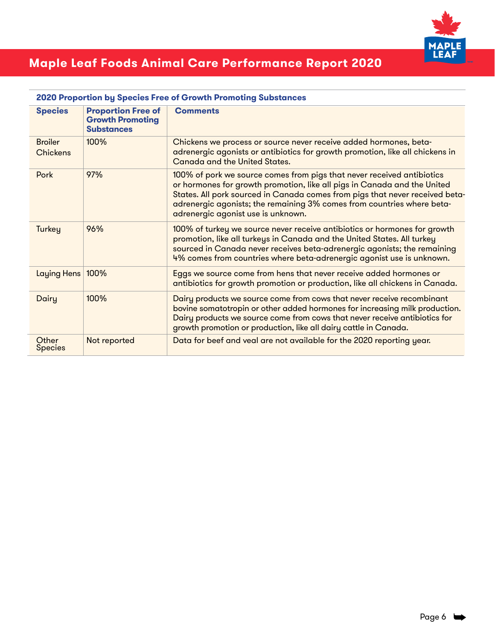

| <b>Species</b>                    | <b>Proportion Free of</b><br><b>Growth Promoting</b><br><b>Substances</b> | <b>Comments</b>                                                                                                                                                                                                                                                                                                                                    |
|-----------------------------------|---------------------------------------------------------------------------|----------------------------------------------------------------------------------------------------------------------------------------------------------------------------------------------------------------------------------------------------------------------------------------------------------------------------------------------------|
| <b>Broiler</b><br><b>Chickens</b> | 100%                                                                      | Chickens we process or source never receive added hormones, beta-<br>adrenergic agonists or antibiotics for growth promotion, like all chickens in<br>Canada and the United States.                                                                                                                                                                |
| Pork                              | 97%                                                                       | 100% of pork we source comes from pigs that never received antibiotics<br>or hormones for growth promotion, like all pigs in Canada and the United<br>States. All pork sourced in Canada comes from pigs that never received beta-<br>adrenergic agonists; the remaining 3% comes from countries where beta-<br>adrenergic agonist use is unknown. |
| Turkey                            | 96%                                                                       | 100% of turkey we source never receive antibiotics or hormones for growth<br>promotion, like all turkeys in Canada and the United States. All turkey<br>sourced in Canada never receives beta-adrenergic agonists; the remaining<br>4% comes from countries where beta-adrenergic agonist use is unknown.                                          |
| Laying Hens                       | 100%                                                                      | Eggs we source come from hens that never receive added hormones or<br>antibiotics for growth promotion or production, like all chickens in Canada.                                                                                                                                                                                                 |
| Dairy                             | 100%                                                                      | Dairy products we source come from cows that never receive recombinant<br>bovine somatotropin or other added hormones for increasing milk production.<br>Dairy products we source come from cows that never receive antibiotics for<br>growth promotion or production, like all dairy cattle in Canada.                                            |
| Other<br><b>Species</b>           | Not reported                                                              | Data for beef and veal are not available for the 2020 reporting year.                                                                                                                                                                                                                                                                              |

#### **2020 Proportion by Species Free of Growth Promoting Substances**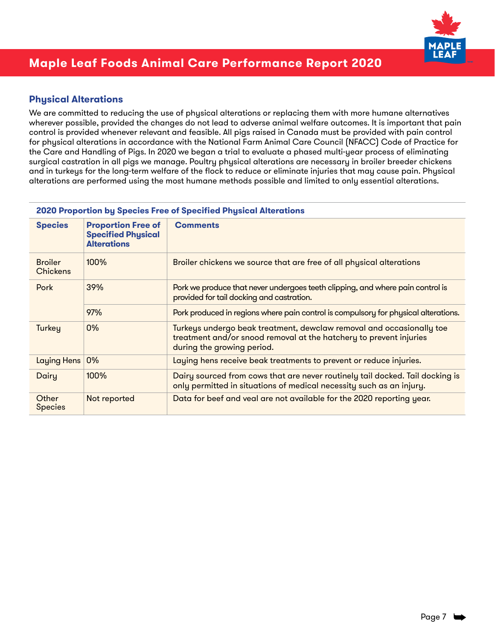

### **Physical Alterations**

We are committed to reducing the use of physical alterations or replacing them with more humane alternatives wherever possible, provided the changes do not lead to adverse animal welfare outcomes. It is important that pain control is provided whenever relevant and feasible. All pigs raised in Canada must be provided with pain control for physical alterations in accordance with the National Farm Animal Care Council (NFACC) Code of Practice for the Care and Handling of Pigs. In 2020 we began a trial to evaluate a phased multi-year process of eliminating surgical castration in all pigs we manage. Poultry physical alterations are necessary in broiler breeder chickens and in turkeys for the long-term welfare of the flock to reduce or eliminate injuries that may cause pain. Physical alterations are performed using the most humane methods possible and limited to only essential alterations.

#### **2020 Proportion by Species Free of Specified Physical Alterations**

| <b>Species</b>                    | <b>Proportion Free of</b><br><b>Specified Physical</b><br><b>Alterations</b> | <b>Comments</b>                                                                                                                                                          |  |
|-----------------------------------|------------------------------------------------------------------------------|--------------------------------------------------------------------------------------------------------------------------------------------------------------------------|--|
| <b>Broiler</b><br><b>Chickens</b> | 100%                                                                         | Broiler chickens we source that are free of all physical alterations                                                                                                     |  |
| Pork                              | 39%                                                                          | Pork we produce that never undergoes teeth clipping, and where pain control is<br>provided for tail docking and castration.                                              |  |
|                                   | 97%                                                                          | Pork produced in regions where pain control is compulsory for physical alterations.                                                                                      |  |
| Turkey                            | 0%                                                                           | Turkeys undergo beak treatment, dewclaw removal and occasionally toe<br>treatment and/or snood removal at the hatchery to prevent injuries<br>during the growing period. |  |
| Laying Hens                       | 0%                                                                           | Laying hens receive beak treatments to prevent or reduce injuries.                                                                                                       |  |
| Dairy                             | 100%                                                                         | Dairy sourced from cows that are never routinely tail docked. Tail docking is<br>only permitted in situations of medical necessity such as an injury.                    |  |
| Other<br><b>Species</b>           | Not reported                                                                 | Data for beef and veal are not available for the 2020 reporting year.                                                                                                    |  |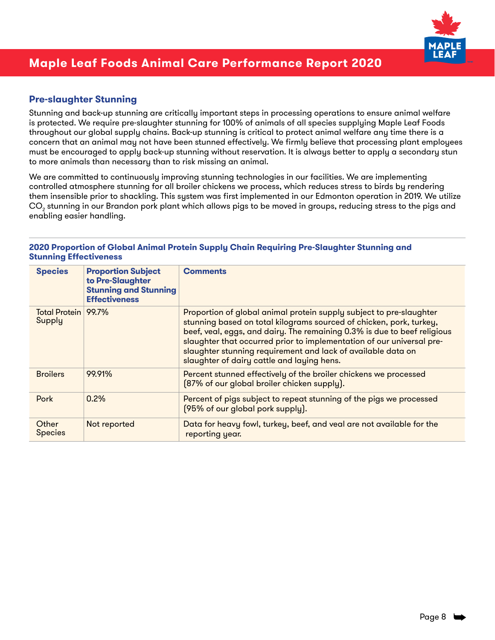

### **Pre-slaughter Stunning**

Stunning and back-up stunning are critically important steps in processing operations to ensure animal welfare is protected. We require pre-slaughter stunning for 100% of animals of all species supplying Maple Leaf Foods throughout our global supply chains. Back-up stunning is critical to protect animal welfare any time there is a concern that an animal may not have been stunned effectively. We firmly believe that processing plant employees must be encouraged to apply back-up stunning without reservation. It is always better to apply a secondary stun to more animals than necessary than to risk missing an animal.

We are committed to continuously improving stunning technologies in our facilities. We are implementing controlled atmosphere stunning for all broiler chickens we process, which reduces stress to birds by rendering them insensible prior to shackling. This system was first implemented in our Edmonton operation in 2019. We utilize  $\mathrm{CO}_2^{}$  stunning in our Brandon pork plant which allows pigs to be moved in groups, reducing stress to the pigs and enabling easier handling.

#### **2020 Proportion of Global Animal Protein Supply Chain Requiring Pre-Slaughter Stunning and Stunning Effectiveness**

| <b>Species</b>                | <b>Proportion Subject</b><br>to Pre-Slaughter<br><b>Stunning and Stunning</b><br><b>Effectiveness</b> | <b>Comments</b>                                                                                                                                                                                                                                                                                                                                                                                               |
|-------------------------------|-------------------------------------------------------------------------------------------------------|---------------------------------------------------------------------------------------------------------------------------------------------------------------------------------------------------------------------------------------------------------------------------------------------------------------------------------------------------------------------------------------------------------------|
| Total Protein 99.7%<br>Supply |                                                                                                       | Proportion of global animal protein supply subject to pre-slaughter<br>stunning based on total kilograms sourced of chicken, pork, turkey,<br>beef, veal, eggs, and dairy. The remaining 0.3% is due to beef religious<br>slaughter that occurred prior to implementation of our universal pre-<br>slaughter stunning requirement and lack of available data on<br>slaughter of dairy cattle and laying hens. |
| <b>Broilers</b>               | 99.91%                                                                                                | Percent stunned effectively of the broiler chickens we processed<br>[87% of our global broiler chicken supply].                                                                                                                                                                                                                                                                                               |
| Pork                          | $0.2\%$                                                                                               | Percent of pigs subject to repeat stunning of the pigs we processed<br>[95% of our global pork supply].                                                                                                                                                                                                                                                                                                       |
| Other<br><b>Species</b>       | Not reported                                                                                          | Data for heavy fowl, turkey, beef, and veal are not available for the<br>reporting year.                                                                                                                                                                                                                                                                                                                      |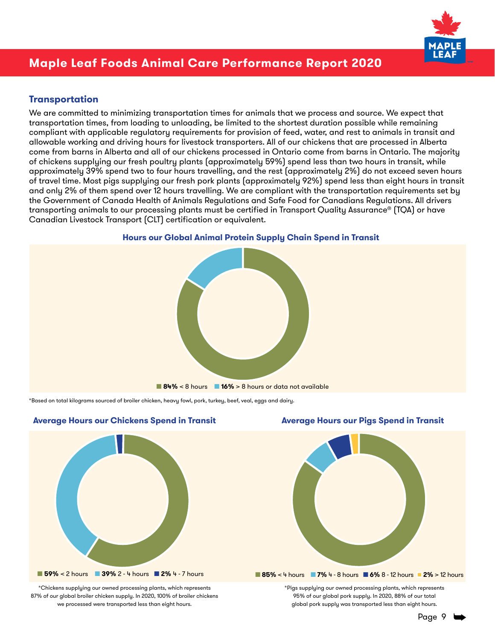

### **Transportation**

We are committed to minimizing transportation times for animals that we process and source. We expect that transportation times, from loading to unloading, be limited to the shortest duration possible while remaining compliant with applicable regulatory requirements for provision of feed, water, and rest to animals in transit and allowable working and driving hours for livestock transporters. All of our chickens that are processed in Alberta come from barns in Alberta and all of our chickens processed in Ontario come from barns in Ontario. The majority of chickens supplying our fresh poultry plants (approximately 59%) spend less than two hours in transit, while approximately 39% spend two to four hours travelling, and the rest (approximately 2%) do not exceed seven hours of travel time. Most pigs supplying our fresh pork plants (approximately 92%) spend less than eight hours in transit and only 2% of them spend over 12 hours travelling. We are compliant with the transportation requirements set by the Government of Canada Health of Animals Regulations and Safe Food for Canadians Regulations. All drivers transporting animals to our processing plants must be certified in Transport Quality Assurance® (TQA) or have Canadian Livestock Transport (CLT) certification or equivalent.



### **Hours our Global Animal Protein Supply Chain Spend in Transit** ■ ■

\*Based on total kilograms sourced of broiler chicken, heavy fowl, pork, turkey, beef, veal, eggs and dairy.



\*Chickens supplying our owned processing plants, which represents 87% of our global broiler chicken supply. In 2020, 100% of broiler chickens we processed were transported less than eight hours.

#### Average Hours our Chickens Spend in Transit **Average Hours our Pigs Spend in Transit**



\*Pigs supplying our owned processing plants, which represents 95% of our global pork supply. In 2020, 88% of our total global pork supply was transported less than eight hours.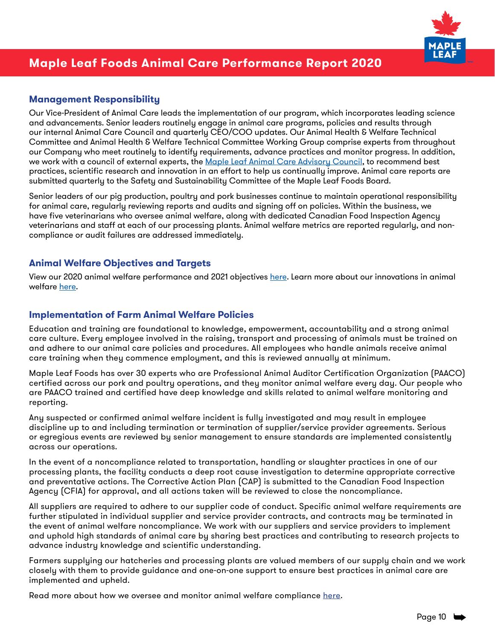

### **Management Responsibility**

Our Vice-President of Animal Care leads the implementation of our program, which incorporates leading science and advancements. Senior leaders routinely engage in animal care programs, policies and results through our internal Animal Care Council and quarterly CEO/COO updates. Our Animal Health & Welfare Technical Committee and Animal Health & Welfare Technical Committee Working Group comprise experts from throughout our Company who meet routinely to identify requirements, advance practices and monitor progress. In addition, we work with a council of external experts, the [Maple Leaf Animal Care Advisory Council](https://www.mapleleaffoods.com/wp-content/uploads/2020/06/MLF_2020_Animal_Care_Advisory_Council.pdf), to recommend best practices, scientific research and innovation in an effort to help us continually improve. Animal care reports are submitted quarterly to the Safety and Sustainability Committee of the Maple Leaf Foods Board.

Senior leaders of our pig production, poultry and pork businesses continue to maintain operational responsibility for animal care, regularly reviewing reports and audits and signing off on policies. Within the business, we have five veterinarians who oversee animal welfare, along with dedicated Canadian Food Inspection Agency veterinarians and staff at each of our processing plants. Animal welfare metrics are reported regularly, and noncompliance or audit failures are addressed immediately.

### **Animal Welfare Objectives and Targets**

View our 2020 animal welfare performance and 2021 objectives [here.](https://www.mapleleaffoods.com/wp-content/uploads/2021/07/MLF_2020_Goals_and_Performance.pdf#page=4) Learn more about our innovations in animal welfare [here.](https://www.mapleleaffoods.com/sustainability/better-care/innovations-in-animal-welfare/)

### **Implementation of Farm Animal Welfare Policies**

Education and training are foundational to knowledge, empowerment, accountability and a strong animal care culture. Every employee involved in the raising, transport and processing of animals must be trained on and adhere to our animal care policies and procedures. All employees who handle animals receive animal care training when they commence employment, and this is reviewed annually at minimum.

Maple Leaf Foods has over 30 experts who are Professional Animal Auditor Certification Organization (PAACO) certified across our pork and poultry operations, and they monitor animal welfare every day. Our people who are PAACO trained and certified have deep knowledge and skills related to animal welfare monitoring and reporting.

Any suspected or confirmed animal welfare incident is fully investigated and may result in employee discipline up to and including termination or termination of supplier/service provider agreements. Serious or egregious events are reviewed by senior management to ensure standards are implemented consistently across our operations.

In the event of a noncompliance related to transportation, handling or slaughter practices in one of our processing plants, the facility conducts a deep root cause investigation to determine appropriate corrective and preventative actions. The Corrective Action Plan (CAP) is submitted to the Canadian Food Inspection Agency (CFIA) for approval, and all actions taken will be reviewed to close the noncompliance.

All suppliers are required to adhere to our supplier code of conduct. Specific animal welfare requirements are further stipulated in individual supplier and service provider contracts, and contracts may be terminated in the event of animal welfare noncompliance. We work with our suppliers and service providers to implement and uphold high standards of animal care by sharing best practices and contributing to research projects to advance industry knowledge and scientific understanding.

Farmers supplying our hatcheries and processing plants are valued members of our supply chain and we work closely with them to provide guidance and one-on-one support to ensure best practices in animal care are implemented and upheld.

Read more about how we oversee and monitor animal welfare compliance [here](https://www.mapleleaffoods.com/sustainability/better-care/animal-care-oversight/).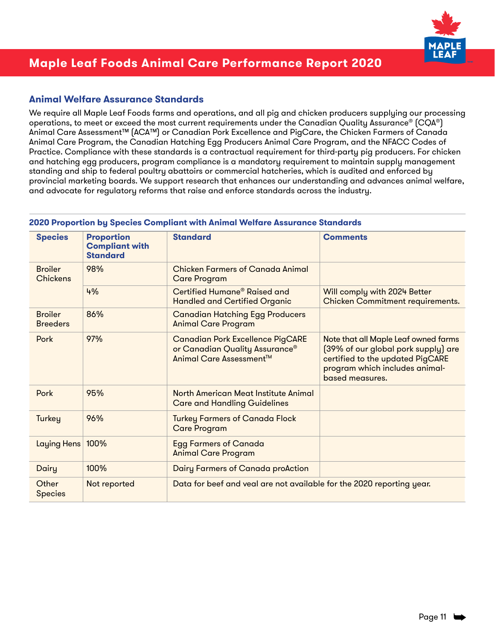

### **Animal Welfare Assurance Standards**

We require all Maple Leaf Foods farms and operations, and all pig and chicken producers supplying our processing operations, to meet or exceed the most current requirements under the Canadian Quality Assurance® (CQA®) Animal Care Assessment™ (ACA™) or Canadian Pork Excellence and PigCare, the Chicken Farmers of Canada Animal Care Program, the Canadian Hatching Egg Producers Animal Care Program, and the NFACC Codes of Practice. Compliance with these standards is a contractual requirement for third-party pig producers. For chicken and hatching egg producers, program compliance is a mandatory requirement to maintain supply management standing and ship to federal poultry abattoirs or commercial hatcheries, which is audited and enforced by provincial marketing boards. We support research that enhances our understanding and advances animal welfare, and advocate for regulatory reforms that raise and enforce standards across the industry.

| <b>Species</b>                    | <b>Proportion</b><br><b>Compliant with</b><br><b>Standard</b> | <b>Standard</b>                                                                                      | <b>Comments</b>                                                                                                                                                      |
|-----------------------------------|---------------------------------------------------------------|------------------------------------------------------------------------------------------------------|----------------------------------------------------------------------------------------------------------------------------------------------------------------------|
| <b>Broiler</b><br>Chickens        | 98%                                                           | <b>Chicken Farmers of Canada Animal</b><br><b>Care Program</b>                                       |                                                                                                                                                                      |
|                                   | 4%                                                            | Certified Humane <sup>®</sup> Raised and<br><b>Handled and Certified Organic</b>                     | Will comply with 2024 Better<br>Chicken Commitment requirements.                                                                                                     |
| <b>Broiler</b><br><b>Breeders</b> | 86%                                                           | <b>Canadian Hatching Egg Producers</b><br><b>Animal Care Program</b>                                 |                                                                                                                                                                      |
| Pork                              | 97%                                                           | <b>Canadian Pork Excellence PigCARE</b><br>or Canadian Quality Assurance®<br>Animal Care Assessment™ | Note that all Maple Leaf owned farms<br>[39% of our global pork supply] are<br>certified to the updated PigCARE<br>program which includes animal-<br>based measures. |
| Pork                              | 95%                                                           | North American Meat Institute Animal<br><b>Care and Handling Guidelines</b>                          |                                                                                                                                                                      |
| Turkey                            | 96%                                                           | <b>Turkey Farmers of Canada Flock</b><br><b>Care Program</b>                                         |                                                                                                                                                                      |
| Laying Hens                       | 100%                                                          | <b>Egg Farmers of Canada</b><br><b>Animal Care Program</b>                                           |                                                                                                                                                                      |
| Dairy                             | 100%                                                          | <b>Dairy Farmers of Canada proAction</b>                                                             |                                                                                                                                                                      |
| Other<br><b>Species</b>           | Not reported                                                  | Data for beef and veal are not available for the 2020 reporting year.                                |                                                                                                                                                                      |

#### **2020 Proportion by Species Compliant with Animal Welfare Assurance Standards**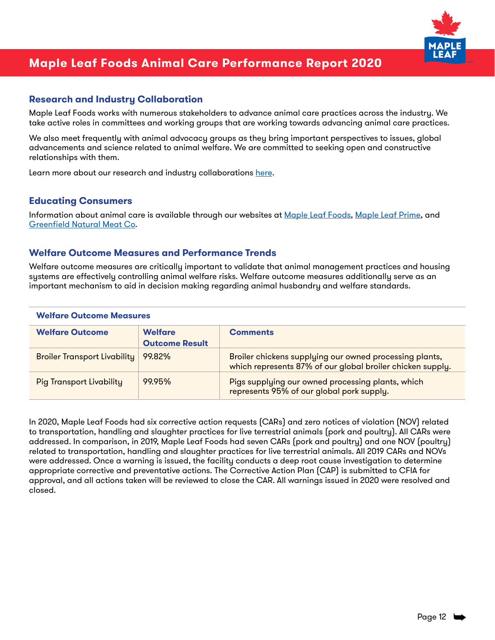

### **Research and Industry Collaboration**

Maple Leaf Foods works with numerous stakeholders to advance animal care practices across the industry. We take active roles in committees and working groups that are working towards advancing animal care practices.

We also meet frequently with animal advocacy groups as they bring important perspectives to issues, global advancements and science related to animal welfare. We are committed to seeking open and constructive relationships with them.

Learn more about our research and industry collaborations [here.](https://www.mapleleaffoods.com/sustainability/better-care/commitment-to-animal-care/)

#### **Educating Consumers**

Information about animal care is available through our websites at [Maple Leaf Foods,](https://www.mapleleaffoods.com/sustainability/better-care/overview/) [Maple Leaf Prime](https://mapleleafprime.ca), and [Greenfield Natural Meat Co](https://greenfieldmeat.com).

### **Welfare Outcome Measures and Performance Trends**

Welfare outcome measures are critically important to validate that animal management practices and housing systems are effectively controlling animal welfare risks. Welfare outcome measures additionally serve as an important mechanism to aid in decision making regarding animal husbandry and welfare standards.

| <b>Welfare Outcome Measures</b>     |                                         |                                                                                                                       |
|-------------------------------------|-----------------------------------------|-----------------------------------------------------------------------------------------------------------------------|
| <b>Welfare Outcome</b>              | <b>Welfare</b><br><b>Outcome Result</b> | <b>Comments</b>                                                                                                       |
| <b>Broiler Transport Livability</b> | 99.82%                                  | Broiler chickens supplying our owned processing plants,<br>which represents 87% of our global broiler chicken supply. |
| <b>Pig Transport Livability</b>     | 99.95%                                  | Pigs supplying our owned processing plants, which<br>represents 95% of our global pork supply.                        |

In 2020, Maple Leaf Foods had six corrective action requests (CARs) and zero notices of violation (NOV) related to transportation, handling and slaughter practices for live terrestrial animals (pork and poultry). All CARs were addressed. In comparison, in 2019, Maple Leaf Foods had seven CARs (pork and poultry) and one NOV (poultry) related to transportation, handling and slaughter practices for live terrestrial animals. All 2019 CARs and NOVs were addressed. Once a warning is issued, the facility conducts a deep root cause investigation to determine appropriate corrective and preventative actions. The Corrective Action Plan (CAP) is submitted to CFIA for approval, and all actions taken will be reviewed to close the CAR. All warnings issued in 2020 were resolved and closed.